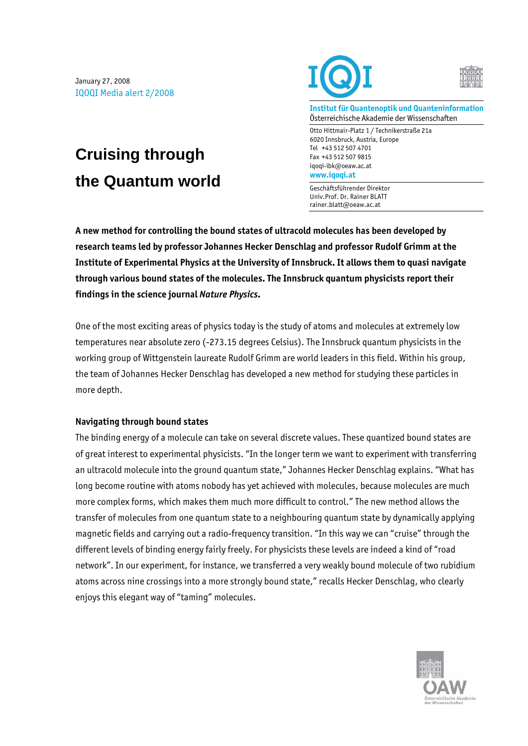January 27, 2008 IQOQI Media alert 2/2008

**Cruising through** 

**the Quantum world** 





**Institut für Quantenoptik und Quanteninformation**  Österreichische Akademie der Wissenschaften

Otto Hittmair-Platz 1 / Technikerstraße 21a 6020 Innsbruck, Austria, Europe Tel +43 512 507 4701 Fax +43 512 507 9815 iqoqi-ibk@oeaw.ac.at **www.iqoqi.at** 

Geschäftsführender Direktor Univ.Prof. Dr. Rainer BLATT rainer.blatt@oeaw.ac.at

**A new method for controlling the bound states of ultracold molecules has been developed by research teams led by professor Johannes Hecker Denschlag and professor Rudolf Grimm at the Institute of Experimental Physics at the University of Innsbruck. It allows them to quasi navigate through various bound states of the molecules. The Innsbruck quantum physicists report their findings in the science journal** *Nature Physics***.** 

One of the most exciting areas of physics today is the study of atoms and molecules at extremely low temperatures near absolute zero (-273.15 degrees Celsius). The Innsbruck quantum physicists in the working group of Wittgenstein laureate Rudolf Grimm are world leaders in this field. Within his group, the team of Johannes Hecker Denschlag has developed a new method for studying these particles in more depth.

## **Navigating through bound states**

The binding energy of a molecule can take on several discrete values. These quantized bound states are of great interest to experimental physicists. "In the longer term we want to experiment with transferring an ultracold molecule into the ground quantum state," Johannes Hecker Denschlag explains. "What has long become routine with atoms nobody has yet achieved with molecules, because molecules are much more complex forms, which makes them much more difficult to control." The new method allows the transfer of molecules from one quantum state to a neighbouring quantum state by dynamically applying magnetic fields and carrying out a radio-frequency transition. "In this way we can "cruise" through the different levels of binding energy fairly freely. For physicists these levels are indeed a kind of "road network". In our experiment, for instance, we transferred a very weakly bound molecule of two rubidium atoms across nine crossings into a more strongly bound state," recalls Hecker Denschlag, who clearly enjoys this elegant way of "taming" molecules.